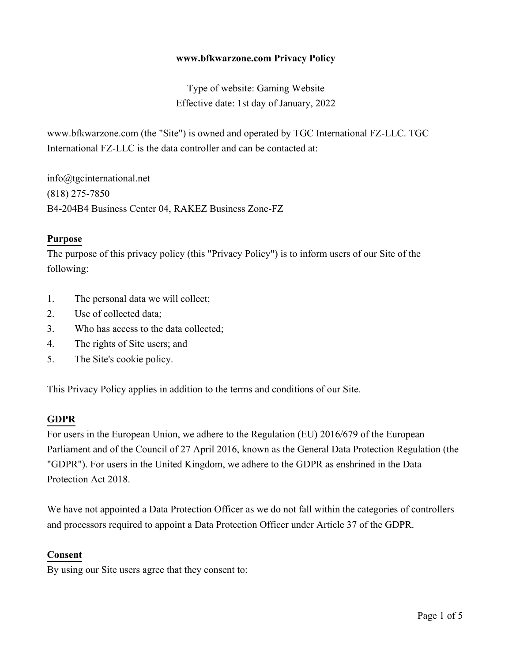#### **www.bfkwarzone.com Privacy Policy**

Type of website: Gaming Website Effective date: 1st day of January, 2022

www.bfkwarzone.com (the "Site") is owned and operated by TGC International FZ-LLC. TGC International FZ-LLC is the data controller and can be contacted at:

info@tgcinternational.net (818) 275-7850 B4-204B4 Business Center 04, RAKEZ Business Zone-FZ

#### **Purpose**

The purpose of this privacy policy (this "Privacy Policy") is to inform users of our Site of the following:

- 1. The personal data we will collect;
- 2. Use of collected data;
- 3. Who has access to the data collected;
- 4. The rights of Site users; and
- 5. The Site's cookie policy.

This Privacy Policy applies in addition to the terms and conditions of our Site.

#### **GDPR**

For users in the European Union, we adhere to the Regulation (EU) 2016/679 of the European Parliament and of the Council of 27 April 2016, known as the General Data Protection Regulation (the "GDPR"). For users in the United Kingdom, we adhere to the GDPR as enshrined in the Data Protection Act 2018.

We have not appointed a Data Protection Officer as we do not fall within the categories of controllers and processors required to appoint a Data Protection Officer under Article 37 of the GDPR.

#### **Consent**

By using our Site users agree that they consent to: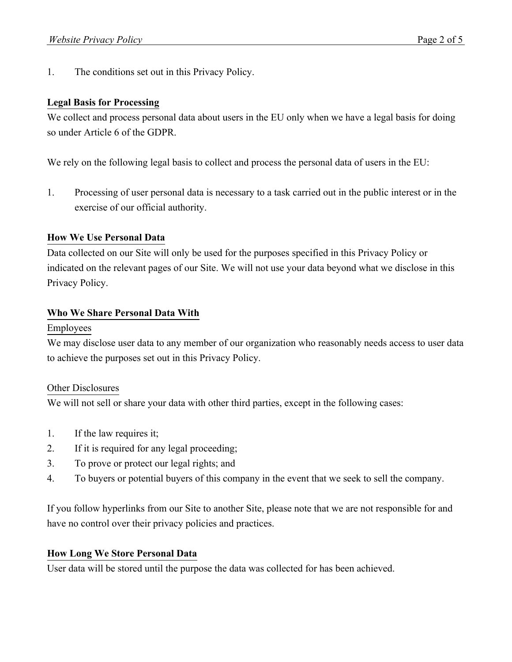1. The conditions set out in this Privacy Policy.

## **Legal Basis for Processing**

We collect and process personal data about users in the EU only when we have a legal basis for doing so under Article 6 of the GDPR.

We rely on the following legal basis to collect and process the personal data of users in the EU:

1. Processing of user personal data is necessary to a task carried out in the public interest or in the exercise of our official authority.

# **How We Use Personal Data**

Data collected on our Site will only be used for the purposes specified in this Privacy Policy or indicated on the relevant pages of our Site. We will not use your data beyond what we disclose in this Privacy Policy.

# **Who We Share Personal Data With**

## Employees

We may disclose user data to any member of our organization who reasonably needs access to user data to achieve the purposes set out in this Privacy Policy.

## Other Disclosures

We will not sell or share your data with other third parties, except in the following cases:

- 1. If the law requires it;
- 2. If it is required for any legal proceeding;
- 3. To prove or protect our legal rights; and
- 4. To buyers or potential buyers of this company in the event that we seek to sell the company.

If you follow hyperlinks from our Site to another Site, please note that we are not responsible for and have no control over their privacy policies and practices.

## **How Long We Store Personal Data**

User data will be stored until the purpose the data was collected for has been achieved.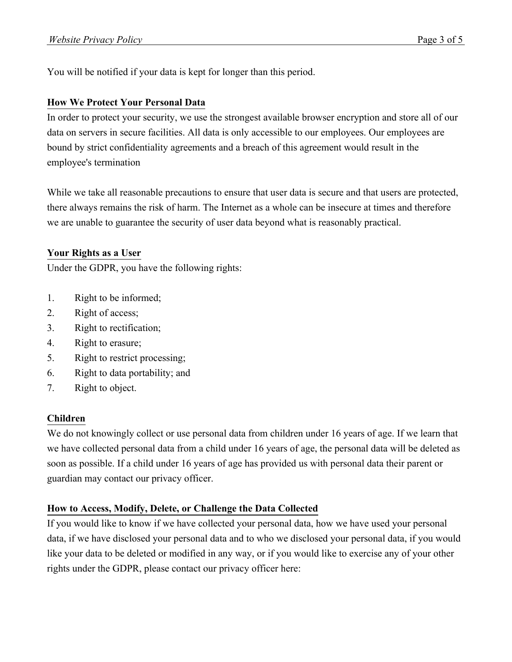You will be notified if your data is kept for longer than this period.

## **How We Protect Your Personal Data**

In order to protect your security, we use the strongest available browser encryption and store all of our data on servers in secure facilities. All data is only accessible to our employees. Our employees are bound by strict confidentiality agreements and a breach of this agreement would result in the employee's termination

While we take all reasonable precautions to ensure that user data is secure and that users are protected, there always remains the risk of harm. The Internet as a whole can be insecure at times and therefore we are unable to guarantee the security of user data beyond what is reasonably practical.

## **Your Rights as a User**

Under the GDPR, you have the following rights:

- 1. Right to be informed;
- 2. Right of access;
- 3. Right to rectification;
- 4. Right to erasure;
- 5. Right to restrict processing;
- 6. Right to data portability; and
- 7. Right to object.

## **Children**

We do not knowingly collect or use personal data from children under 16 years of age. If we learn that we have collected personal data from a child under 16 years of age, the personal data will be deleted as soon as possible. If a child under 16 years of age has provided us with personal data their parent or guardian may contact our privacy officer.

## **How to Access, Modify, Delete, or Challenge the Data Collected**

If you would like to know if we have collected your personal data, how we have used your personal data, if we have disclosed your personal data and to who we disclosed your personal data, if you would like your data to be deleted or modified in any way, or if you would like to exercise any of your other rights under the GDPR, please contact our privacy officer here: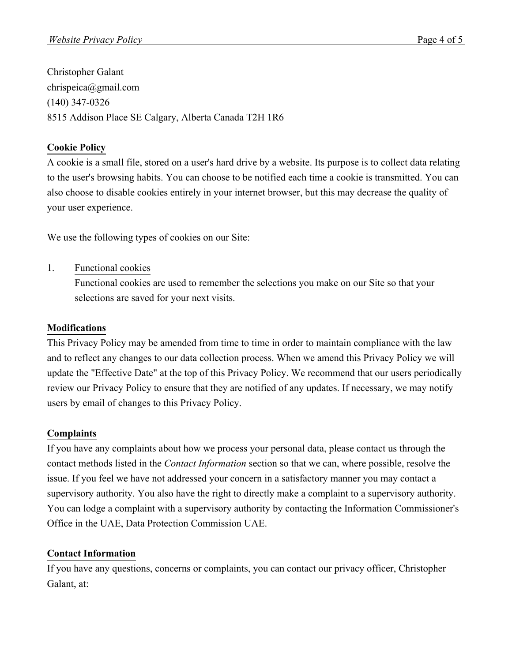Christopher Galant chrispeica@gmail.com (140) 347-0326 8515 Addison Place SE Calgary, Alberta Canada T2H 1R6

# **Cookie Policy**

A cookie is a small file, stored on a user's hard drive by a website. Its purpose is to collect data relating to the user's browsing habits. You can choose to be notified each time a cookie is transmitted. You can also choose to disable cookies entirely in your internet browser, but this may decrease the quality of your user experience.

We use the following types of cookies on our Site:

1. Functional cookies

Functional cookies are used to remember the selections you make on our Site so that your selections are saved for your next visits.

# **Modifications**

This Privacy Policy may be amended from time to time in order to maintain compliance with the law and to reflect any changes to our data collection process. When we amend this Privacy Policy we will update the "Effective Date" at the top of this Privacy Policy. We recommend that our users periodically review our Privacy Policy to ensure that they are notified of any updates. If necessary, we may notify users by email of changes to this Privacy Policy.

## **Complaints**

If you have any complaints about how we process your personal data, please contact us through the contact methods listed in the *Contact Information* section so that we can, where possible, resolve the issue. If you feel we have not addressed your concern in a satisfactory manner you may contact a supervisory authority. You also have the right to directly make a complaint to a supervisory authority. You can lodge a complaint with a supervisory authority by contacting the Information Commissioner's Office in the UAE, Data Protection Commission UAE.

# **Contact Information**

If you have any questions, concerns or complaints, you can contact our privacy officer, Christopher Galant, at: